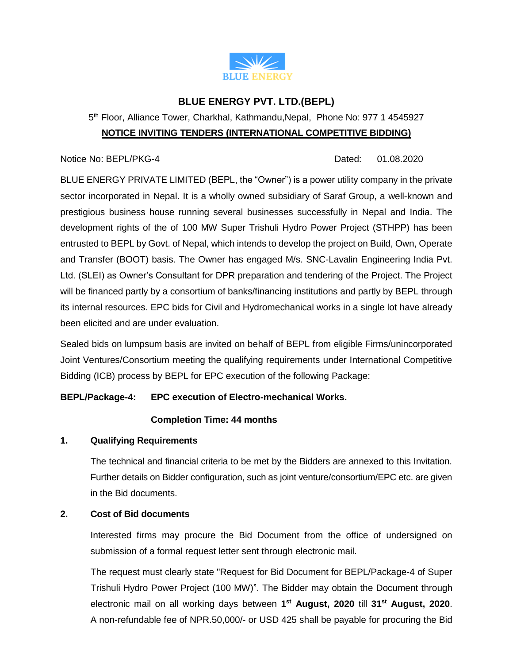

# **BLUE ENERGY PVT. LTD.(BEPL)**

# 5<sup>th</sup> Floor, Alliance Tower, Charkhal, Kathmandu, Nepal, Phone No: 977 1 4545927 **NOTICE INVITING TENDERS (INTERNATIONAL COMPETITIVE BIDDING)**

#### Notice No: BEPL/PKG-4 Dated: 01.08.2020

BLUE ENERGY PRIVATE LIMITED (BEPL, the "Owner") is a power utility company in the private sector incorporated in Nepal. It is a wholly owned subsidiary of Saraf Group, a well-known and prestigious business house running several businesses successfully in Nepal and India. The development rights of the of 100 MW Super Trishuli Hydro Power Project (STHPP) has been entrusted to BEPL by Govt. of Nepal, which intends to develop the project on Build, Own, Operate and Transfer (BOOT) basis. The Owner has engaged M/s. SNC-Lavalin Engineering India Pvt. Ltd. (SLEI) as Owner's Consultant for DPR preparation and tendering of the Project. The Project will be financed partly by a consortium of banks/financing institutions and partly by BEPL through its internal resources. EPC bids for Civil and Hydromechanical works in a single lot have already been elicited and are under evaluation.

Sealed bids on lumpsum basis are invited on behalf of BEPL from eligible Firms/unincorporated Joint Ventures/Consortium meeting the qualifying requirements under International Competitive Bidding (ICB) process by BEPL for EPC execution of the following Package:

# **BEPL/Package-4: EPC execution of Electro-mechanical Works.**

## **Completion Time: 44 months**

## **1. Qualifying Requirements**

The technical and financial criteria to be met by the Bidders are annexed to this Invitation. Further details on Bidder configuration, such as joint venture/consortium/EPC etc. are given in the Bid documents.

## **2. Cost of Bid documents**

Interested firms may procure the Bid Document from the office of undersigned on submission of a formal request letter sent through electronic mail.

The request must clearly state "Request for Bid Document for BEPL/Package-4 of Super Trishuli Hydro Power Project (100 MW)". The Bidder may obtain the Document through electronic mail on all working days between **1 st August, 2020** till **31st August, 2020**. A non-refundable fee of NPR.50,000/- or USD 425 shall be payable for procuring the Bid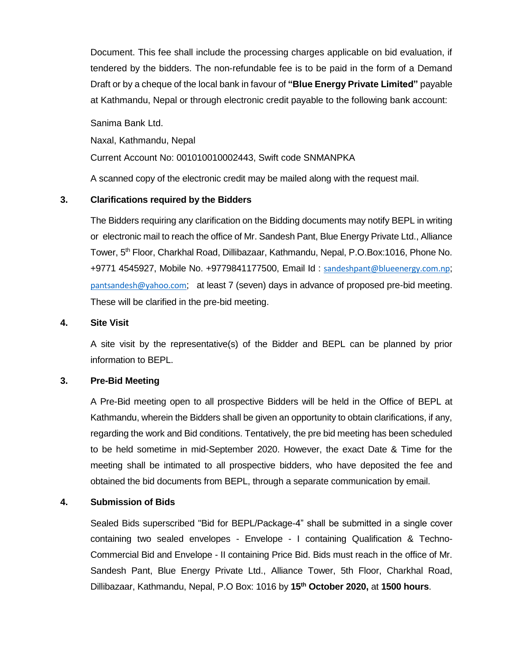Document. This fee shall include the processing charges applicable on bid evaluation, if tendered by the bidders. The non-refundable fee is to be paid in the form of a Demand Draft or by a cheque of the local bank in favour of **"Blue Energy Private Limited"** payable at Kathmandu, Nepal or through electronic credit payable to the following bank account:

Sanima Bank Ltd.

Naxal, Kathmandu, Nepal

Current Account No: 001010010002443, Swift code SNMANPKA

A scanned copy of the electronic credit may be mailed along with the request mail.

## **3. Clarifications required by the Bidders**

The Bidders requiring any clarification on the Bidding documents may notify BEPL in writing or electronic mail to reach the office of Mr. Sandesh Pant, Blue Energy Private Ltd., Alliance Tower, 5th Floor, Charkhal Road, Dillibazaar, Kathmandu, Nepal, P.O.Box:1016, Phone No. +9771 4545927, Mobile No. +9779841177500, Email Id : [sandeshpant@blueenergy.com.np](mailto:sandeshpant@blueenergy.com.np); [pantsandesh@yahoo.com](mailto:pantsandesh@yahoo.com); at least 7 (seven) days in advance of proposed pre-bid meeting. These will be clarified in the pre-bid meeting.

#### **4. Site Visit**

A site visit by the representative(s) of the Bidder and BEPL can be planned by prior information to BEPL.

#### **3. Pre-Bid Meeting**

A Pre-Bid meeting open to all prospective Bidders will be held in the Office of BEPL at Kathmandu, wherein the Bidders shall be given an opportunity to obtain clarifications, if any, regarding the work and Bid conditions. Tentatively, the pre bid meeting has been scheduled to be held sometime in mid-September 2020. However, the exact Date & Time for the meeting shall be intimated to all prospective bidders, who have deposited the fee and obtained the bid documents from BEPL, through a separate communication by email.

#### **4. Submission of Bids**

Sealed Bids superscribed "Bid for BEPL/Package-4" shall be submitted in a single cover containing two sealed envelopes - Envelope - I containing Qualification & Techno-Commercial Bid and Envelope - II containing Price Bid. Bids must reach in the office of Mr. Sandesh Pant, Blue Energy Private Ltd., Alliance Tower, 5th Floor, Charkhal Road, Dillibazaar, Kathmandu, Nepal, P.O Box: 1016 by **15th October 2020,** at **1500 hours**.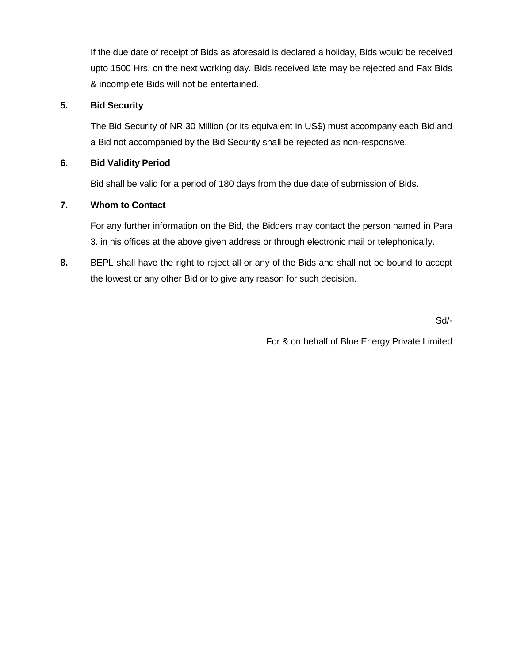If the due date of receipt of Bids as aforesaid is declared a holiday, Bids would be received upto 1500 Hrs. on the next working day. Bids received late may be rejected and Fax Bids & incomplete Bids will not be entertained.

## **5. Bid Security**

The Bid Security of NR 30 Million (or its equivalent in US\$) must accompany each Bid and a Bid not accompanied by the Bid Security shall be rejected as non-responsive.

## **6. Bid Validity Period**

Bid shall be valid for a period of 180 days from the due date of submission of Bids.

## **7. Whom to Contact**

For any further information on the Bid, the Bidders may contact the person named in Para 3. in his offices at the above given address or through electronic mail or telephonically.

**8.** BEPL shall have the right to reject all or any of the Bids and shall not be bound to accept the lowest or any other Bid or to give any reason for such decision.

Sd/-

For & on behalf of Blue Energy Private Limited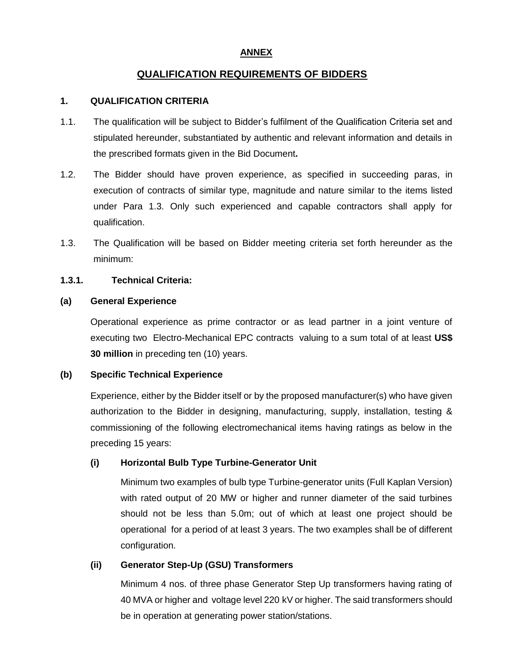# **ANNEX**

# **QUALIFICATION REQUIREMENTS OF BIDDERS**

## **1. QUALIFICATION CRITERIA**

- 1.1. The qualification will be subject to Bidder's fulfilment of the Qualification Criteria set and stipulated hereunder, substantiated by authentic and relevant information and details in the prescribed formats given in the Bid Document**.**
- 1.2. The Bidder should have proven experience, as specified in succeeding paras, in execution of contracts of similar type, magnitude and nature similar to the items listed under Para 1.3. Only such experienced and capable contractors shall apply for qualification.
- 1.3. The Qualification will be based on Bidder meeting criteria set forth hereunder as the minimum:

## **1.3.1. Technical Criteria:**

#### **(a) General Experience**

Operational experience as prime contractor or as lead partner in a joint venture of executing two Electro-Mechanical EPC contracts valuing to a sum total of at least **US\$ 30 million** in preceding ten (10) years.

## **(b) Specific Technical Experience**

Experience, either by the Bidder itself or by the proposed manufacturer(s) who have given authorization to the Bidder in designing, manufacturing, supply, installation, testing & commissioning of the following electromechanical items having ratings as below in the preceding 15 years:

## **(i) Horizontal Bulb Type Turbine-Generator Unit**

Minimum two examples of bulb type Turbine-generator units (Full Kaplan Version) with rated output of 20 MW or higher and runner diameter of the said turbines should not be less than 5.0m; out of which at least one project should be operational for a period of at least 3 years. The two examples shall be of different configuration.

## **(ii) Generator Step-Up (GSU) Transformers**

Minimum 4 nos. of three phase Generator Step Up transformers having rating of 40 MVA or higher and voltage level 220 kV or higher. The said transformers should be in operation at generating power station/stations.